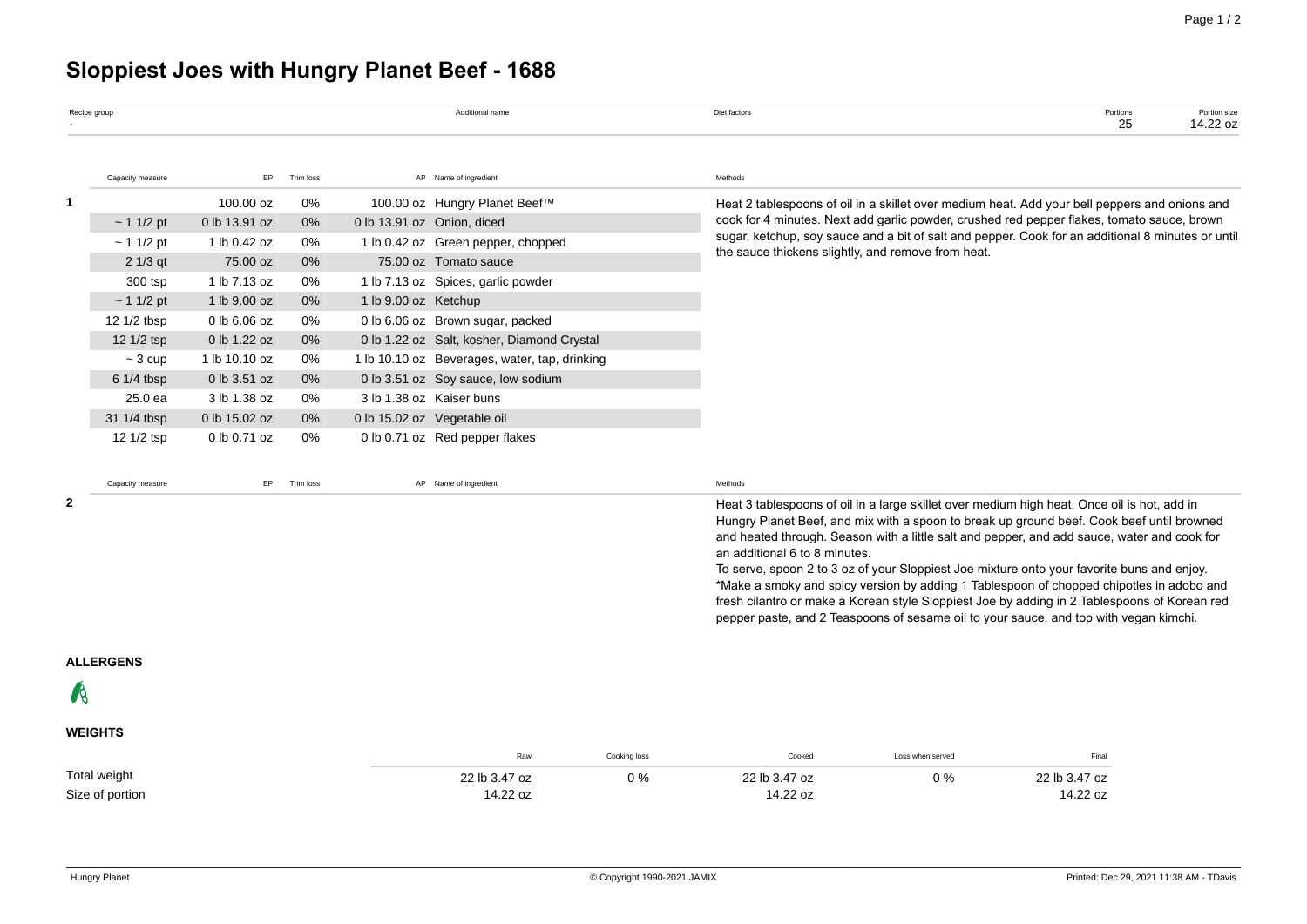# **Sloppiest Joes with Hungry Planet Beef - 1688**

| Recipe group |                  |               |           |                                    | Additional name                               |              | Diet factors                                                                                  |                                                                                                   | Portions<br>25                                                                                                                                                                                                                                                                                                                                                                                                                                                                                                                                                                    | Portion size<br>14.22 oz |  |
|--------------|------------------|---------------|-----------|------------------------------------|-----------------------------------------------|--------------|-----------------------------------------------------------------------------------------------|---------------------------------------------------------------------------------------------------|-----------------------------------------------------------------------------------------------------------------------------------------------------------------------------------------------------------------------------------------------------------------------------------------------------------------------------------------------------------------------------------------------------------------------------------------------------------------------------------------------------------------------------------------------------------------------------------|--------------------------|--|
|              | Capacity measure | EP            | Trim loss |                                    | AP Name of ingredient                         |              | Methods                                                                                       |                                                                                                   |                                                                                                                                                                                                                                                                                                                                                                                                                                                                                                                                                                                   |                          |  |
| 1            |                  | 100.00 oz     | 0%        |                                    | 100.00 oz Hungry Planet Beef™                 |              | Heat 2 tablespoons of oil in a skillet over medium heat. Add your bell peppers and onions and |                                                                                                   |                                                                                                                                                                                                                                                                                                                                                                                                                                                                                                                                                                                   |                          |  |
|              | ~11/2~pt         | 0 lb 13.91 oz | 0%        | 0 lb 13.91 oz Onion, diced         |                                               |              | cook for 4 minutes. Next add garlic powder, crushed red pepper flakes, tomato sauce, brown    |                                                                                                   |                                                                                                                                                                                                                                                                                                                                                                                                                                                                                                                                                                                   |                          |  |
|              | ~11/2~pt         | 1 lb 0.42 oz  | 0%        |                                    | 1 lb 0.42 oz Green pepper, chopped            |              | the sauce thickens slightly, and remove from heat.                                            | sugar, ketchup, soy sauce and a bit of salt and pepper. Cook for an additional 8 minutes or until |                                                                                                                                                                                                                                                                                                                                                                                                                                                                                                                                                                                   |                          |  |
|              | $21/3$ qt        | 75.00 oz      | 0%        |                                    | 75.00 oz Tomato sauce                         |              |                                                                                               |                                                                                                   |                                                                                                                                                                                                                                                                                                                                                                                                                                                                                                                                                                                   |                          |  |
|              | 300 tsp          | 1 lb 7.13 oz  | 0%        |                                    | 1 lb 7.13 oz Spices, garlic powder            |              |                                                                                               |                                                                                                   |                                                                                                                                                                                                                                                                                                                                                                                                                                                                                                                                                                                   |                          |  |
|              | ~11/2~pt         | 1 lb 9.00 oz  | 0%        | 1 lb 9.00 oz Ketchup               |                                               |              |                                                                                               |                                                                                                   |                                                                                                                                                                                                                                                                                                                                                                                                                                                                                                                                                                                   |                          |  |
|              | 12 1/2 tbsp      | 0 lb 6.06 oz  | 0%        |                                    | 0 lb 6.06 oz Brown sugar, packed              |              |                                                                                               |                                                                                                   |                                                                                                                                                                                                                                                                                                                                                                                                                                                                                                                                                                                   |                          |  |
|              | 12 1/2 tsp       | 0 lb 1.22 oz  | 0%        |                                    | 0 lb 1.22 oz Salt, kosher, Diamond Crystal    |              |                                                                                               |                                                                                                   |                                                                                                                                                                                                                                                                                                                                                                                                                                                                                                                                                                                   |                          |  |
|              | $\sim$ 3 cup     | 1 lb 10.10 oz | 0%        |                                    | 1 lb 10.10 oz Beverages, water, tap, drinking |              |                                                                                               |                                                                                                   |                                                                                                                                                                                                                                                                                                                                                                                                                                                                                                                                                                                   |                          |  |
|              | 6 1/4 tbsp       | 0 lb 3.51 oz  | 0%        | 0 lb 3.51 oz Soy sauce, low sodium |                                               |              |                                                                                               |                                                                                                   |                                                                                                                                                                                                                                                                                                                                                                                                                                                                                                                                                                                   |                          |  |
|              | 25.0 ea          | 3 lb 1.38 oz  | 0%        |                                    | 3 lb 1.38 oz Kaiser buns                      |              |                                                                                               |                                                                                                   |                                                                                                                                                                                                                                                                                                                                                                                                                                                                                                                                                                                   |                          |  |
|              | 31 1/4 tbsp      | 0 lb 15.02 oz | 0%        | 0 lb 15.02 oz Vegetable oil        |                                               |              |                                                                                               |                                                                                                   |                                                                                                                                                                                                                                                                                                                                                                                                                                                                                                                                                                                   |                          |  |
|              | 12 1/2 tsp       | 0 lb 0.71 oz  | 0%        |                                    | 0 lb 0.71 oz Red pepper flakes                |              |                                                                                               |                                                                                                   |                                                                                                                                                                                                                                                                                                                                                                                                                                                                                                                                                                                   |                          |  |
|              | Capacity measure | EP            | Trim loss |                                    | AP Name of ingredient                         |              | Methods                                                                                       |                                                                                                   |                                                                                                                                                                                                                                                                                                                                                                                                                                                                                                                                                                                   |                          |  |
| 2            |                  |               |           |                                    |                                               |              | an additional 6 to 8 minutes.                                                                 |                                                                                                   | Heat 3 tablespoons of oil in a large skillet over medium high heat. Once oil is hot, add in<br>Hungry Planet Beef, and mix with a spoon to break up ground beef. Cook beef until browned<br>and heated through. Season with a little salt and pepper, and add sauce, water and cook for<br>To serve, spoon 2 to 3 oz of your Sloppiest Joe mixture onto your favorite buns and enjoy.<br>*Make a smoky and spicy version by adding 1 Tablespoon of chopped chipotles in adobo and<br>fresh cilantro or make a Korean style Sloppiest Joe by adding in 2 Tablespoons of Korean red |                          |  |
|              |                  |               |           |                                    |                                               |              | pepper paste, and 2 Teaspoons of sesame oil to your sauce, and top with vegan kimchi.         |                                                                                                   |                                                                                                                                                                                                                                                                                                                                                                                                                                                                                                                                                                                   |                          |  |
|              | <b>ALLERGENS</b> |               |           |                                    |                                               |              |                                                                                               |                                                                                                   |                                                                                                                                                                                                                                                                                                                                                                                                                                                                                                                                                                                   |                          |  |
| 68           |                  |               |           |                                    |                                               |              |                                                                                               |                                                                                                   |                                                                                                                                                                                                                                                                                                                                                                                                                                                                                                                                                                                   |                          |  |
|              | <b>WEIGHTS</b>   |               |           |                                    |                                               |              |                                                                                               |                                                                                                   |                                                                                                                                                                                                                                                                                                                                                                                                                                                                                                                                                                                   |                          |  |
|              |                  |               |           |                                    | Raw                                           | Cooking loss | Cooked                                                                                        | Loss when served                                                                                  | Final                                                                                                                                                                                                                                                                                                                                                                                                                                                                                                                                                                             |                          |  |
|              | Total weight     |               |           |                                    | 22 lb 3.47 oz                                 | $0\%$        | 22 lb 3.47 oz                                                                                 | $0\%$                                                                                             | 22 lb 3.47 oz                                                                                                                                                                                                                                                                                                                                                                                                                                                                                                                                                                     |                          |  |